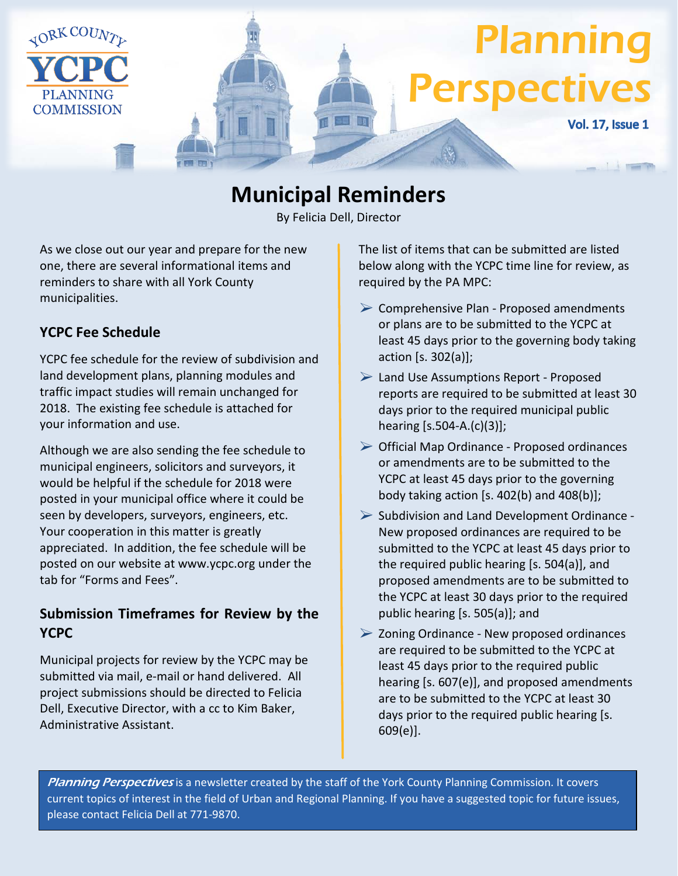

# **Municipal Reminders**

By Felicia Dell, Director

As we close out our year and prepare for the new one, there are several informational items and reminders to share with all York County municipalities.

### **YCPC Fee Schedule**

YCPC fee schedule for the review of subdivision and land development plans, planning modules and traffic impact studies will remain unchanged for 2018. The existing fee schedule is attached for your information and use.

Although we are also sending the fee schedule to municipal engineers, solicitors and surveyors, it would be helpful if the schedule for 2018 were posted in your municipal office where it could be seen by developers, surveyors, engineers, etc. Your cooperation in this matter is greatly appreciated. In addition, the fee schedule will be posted on our website at www.ycpc.org under the tab for "Forms and Fees".

### **Submission Timeframes for Review by the YCPC**

Municipal projects for review by the YCPC may be submitted via mail, e-mail or hand delivered. All project submissions should be directed to Felicia Dell, Executive Director, with a cc to Kim Baker, Administrative Assistant.

The list of items that can be submitted are listed below along with the YCPC time line for review, as required by the PA MPC:

- $\triangleright$  Comprehensive Plan Proposed amendments or plans are to be submitted to the YCPC at least 45 days prior to the governing body taking action [s. 302(a)];
- Land Use Assumptions Report Proposed reports are required to be submitted at least 30 days prior to the required municipal public hearing [s.504-A.(c)(3)];
- $\triangleright$  Official Map Ordinance Proposed ordinances or amendments are to be submitted to the YCPC at least 45 days prior to the governing body taking action [s. 402(b) and 408(b)];
- $\triangleright$  Subdivision and Land Development Ordinance -New proposed ordinances are required to be submitted to the YCPC at least 45 days prior to the required public hearing [s. 504(a)], and proposed amendments are to be submitted to the YCPC at least 30 days prior to the required public hearing [s. 505(a)]; and
- $\triangleright$  Zoning Ordinance New proposed ordinances are required to be submitted to the YCPC at least 45 days prior to the required public hearing [s. 607(e)], and proposed amendments are to be submitted to the YCPC at least 30 days prior to the required public hearing [s. 609(e)].

Planning Perspectives is a newsletter created by the staff of the York County Planning Commission. It covers current topics of interest in the field of Urban and Regional Planning. If you have a suggested topic for future issues, please contact Felicia Dell at 771-9870.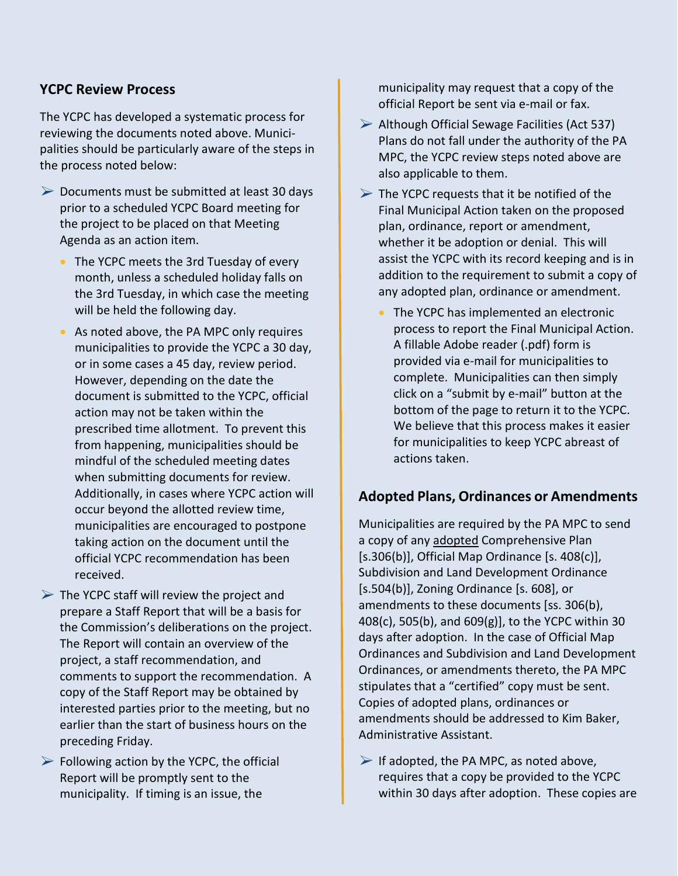#### **YCPC Review Process**

The YCPC has developed a systematic process for reviewing the documents noted above. Municipalities should be particularly aware of the steps in the process noted below:

- $\triangleright$  Documents must be submitted at least 30 days prior to a scheduled YCPC Board meeting for the project to be placed on that Meeting Agenda as an action item.
	- The YCPC meets the 3rd Tuesday of every month, unless a scheduled holiday falls on the 3rd Tuesday, in which case the meeting will be held the following day.
	- As noted above, the PA MPC only requires municipalities to provide the YCPC a 30 day, or in some cases a 45 day, review period. However, depending on the date the document is submitted to the YCPC, official action may not be taken within the prescribed time allotment. To prevent this from happening, municipalities should be mindful of the scheduled meeting dates when submitting documents for review. Additionally, in cases where YCPC action will occur beyond the allotted review time, municipalities are encouraged to postpone taking action on the document until the official YCPC recommendation has been received.
- $\triangleright$  The YCPC staff will review the project and prepare a Staff Report that will be a basis for the Commission's deliberations on the project. The Report will contain an overview of the project, a staff recommendation, and comments to support the recommendation. A copy of the Staff Report may be obtained by interested parties prior to the meeting, but no earlier than the start of business hours on the preceding Friday.
- $\triangleright$  Following action by the YCPC, the official Report will be promptly sent to the municipality. If timing is an issue, the

municipality may request that a copy of the official Report be sent via e-mail or fax.

- $\triangleright$  Although Official Sewage Facilities (Act 537) Plans do not fall under the authority of the PA MPC, the YCPC review steps noted above are also applicable to them.
- $\triangleright$  The YCPC requests that it be notified of the Final Municipal Action taken on the proposed plan, ordinance, report or amendment, whether it be adoption or denial. This will assist the YCPC with its record keeping and is in addition to the requirement to submit a copy of any adopted plan, ordinance or amendment.
	- The YCPC has implemented an electronic process to report the Final Municipal Action. A fillable Adobe reader (.pdf) form is provided via e-mail for municipalities to complete. Municipalities can then simply click on a "submit by e-mail" button at the bottom of the page to return it to the YCPC. We believe that this process makes it easier for municipalities to keep YCPC abreast of actions taken.

#### **Adopted Plans, Ordinances or Amendments**

Municipalities are required by the PA MPC to send a copy of any adopted Comprehensive Plan  $[s.306(b)]$ , Official Map Ordinance  $[s. 408(c)]$ , Subdivision and Land Development Ordinance [s.504(b)], Zoning Ordinance [s. 608], or amendments to these documents [ss. 306(b), 408(c), 505(b), and 609(g)], to the YCPC within 30 days after adoption. In the case of Official Map Ordinances and Subdivision and Land Development Ordinances, or amendments thereto, the PA MPC stipulates that a "certified" copy must be sent. Copies of adopted plans, ordinances or amendments should be addressed to Kim Baker, Administrative Assistant.

 $\triangleright$  If adopted, the PA MPC, as noted above, requires that a copy be provided to the YCPC within 30 days after adoption. These copies are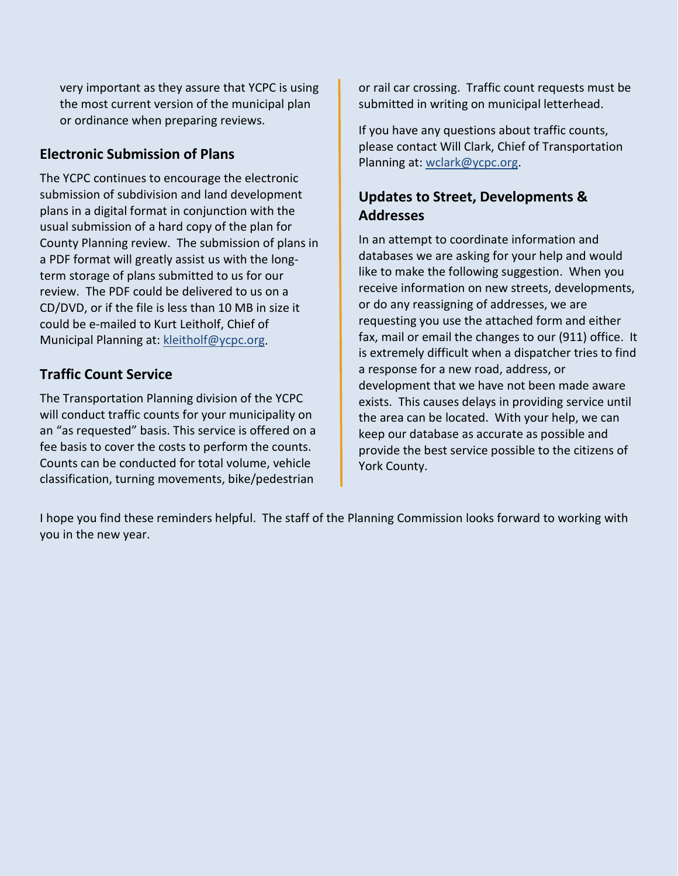very important as they assure that YCPC is using the most current version of the municipal plan or ordinance when preparing reviews.

### **Electronic Submission of Plans**

The YCPC continues to encourage the electronic submission of subdivision and land development plans in a digital format in conjunction with the usual submission of a hard copy of the plan for County Planning review. The submission of plans in a PDF format will greatly assist us with the longterm storage of plans submitted to us for our review. The PDF could be delivered to us on a CD/DVD, or if the file is less than 10 MB in size it could be e-mailed to Kurt Leitholf, Chief of Municipal Planning at: [kleitholf@ycpc.org.](mailto:kleitholf@ycpc.org)

### **Traffic Count Service**

The Transportation Planning division of the YCPC will conduct traffic counts for your municipality on an "as requested" basis. This service is offered on a fee basis to cover the costs to perform the counts. Counts can be conducted for total volume, vehicle classification, turning movements, bike/pedestrian

or rail car crossing. Traffic count requests must be submitted in writing on municipal letterhead.

If you have any questions about traffic counts, please contact Will Clark, Chief of Transportation Planning at: [wclark@ycpc.org.](mailto:wclark@ycpc.org)

### **Updates to Street, Developments & Addresses**

In an attempt to coordinate information and databases we are asking for your help and would like to make the following suggestion. When you receive information on new streets, developments, or do any reassigning of addresses, we are requesting you use the attached form and either fax, mail or email the changes to our (911) office. It is extremely difficult when a dispatcher tries to find a response for a new road, address, or development that we have not been made aware exists. This causes delays in providing service until the area can be located. With your help, we can keep our database as accurate as possible and provide the best service possible to the citizens of York County.

I hope you find these reminders helpful. The staff of the Planning Commission looks forward to working with you in the new year.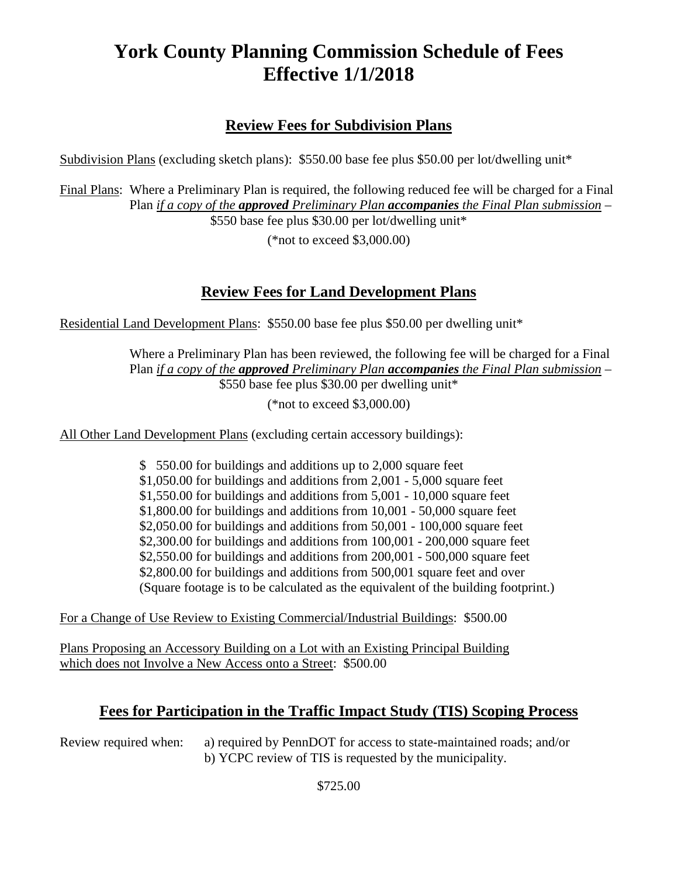# **York County Planning Commission Schedule of Fees Effective 1/1/2018**

### **Review Fees for Subdivision Plans**

Subdivision Plans (excluding sketch plans): \$550.00 base fee plus \$50.00 per lot/dwelling unit\*

Final Plans: Where a Preliminary Plan is required, the following reduced fee will be charged for a Final Plan *if a copy of the approved Preliminary Plan accompanies the Final Plan submission* – \$550 base fee plus \$30.00 per lot/dwelling unit\*

(\*not to exceed \$3,000.00)

### **Review Fees for Land Development Plans**

Residential Land Development Plans: \$550.00 base fee plus \$50.00 per dwelling unit\*

Where a Preliminary Plan has been reviewed, the following fee will be charged for a Final Plan *if a copy of the approved Preliminary Plan accompanies the Final Plan submission* – \$550 base fee plus \$30.00 per dwelling unit\*

(\*not to exceed \$3,000.00)

All Other Land Development Plans (excluding certain accessory buildings):

\$ 550.00 for buildings and additions up to 2,000 square feet \$1,050.00 for buildings and additions from 2,001 - 5,000 square feet  $$1,550.00$  for buildings and additions from  $5,001$  - 10,000 square feet \$1,800.00 for buildings and additions from 10,001 - 50,000 square feet \$2,050.00 for buildings and additions from 50,001 - 100,000 square feet \$2,300.00 for buildings and additions from 100,001 - 200,000 square feet \$2,550.00 for buildings and additions from 200,001 - 500,000 square feet \$2,800.00 for buildings and additions from 500,001 square feet and over (Square footage is to be calculated as the equivalent of the building footprint.)

For a Change of Use Review to Existing Commercial/Industrial Buildings: \$500.00

Plans Proposing an Accessory Building on a Lot with an Existing Principal Building which does not Involve a New Access onto a Street: \$500.00

### **Fees for Participation in the Traffic Impact Study (TIS) Scoping Process**

Review required when: a) required by PennDOT for access to state-maintained roads; and/or b) YCPC review of TIS is requested by the municipality.

\$725.00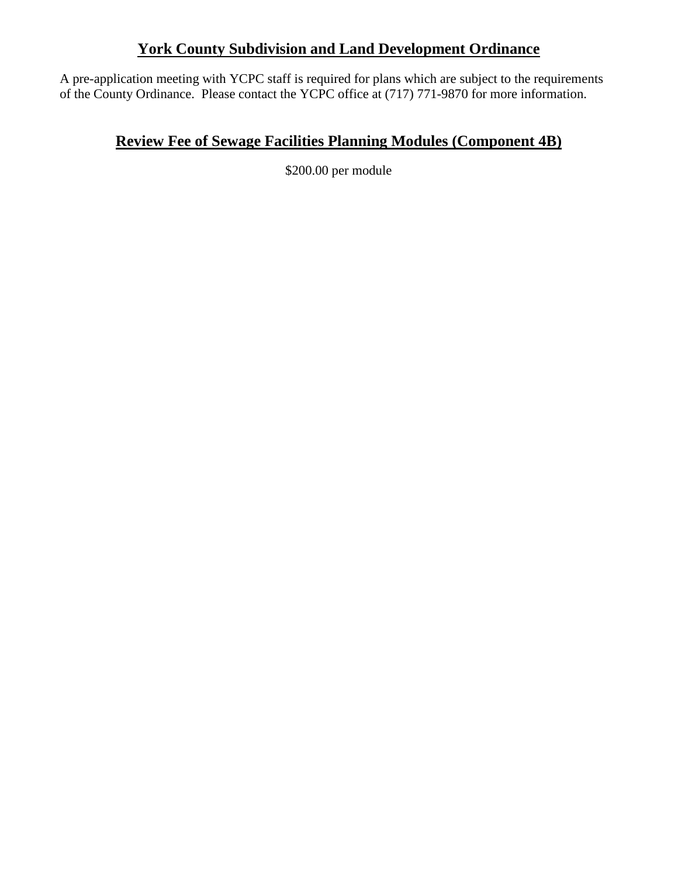### **York County Subdivision and Land Development Ordinance**

A pre-application meeting with YCPC staff is required for plans which are subject to the requirements of the County Ordinance. Please contact the YCPC office at (717) 771-9870 for more information.

## **Review Fee of Sewage Facilities Planning Modules (Component 4B)**

\$200.00 per module